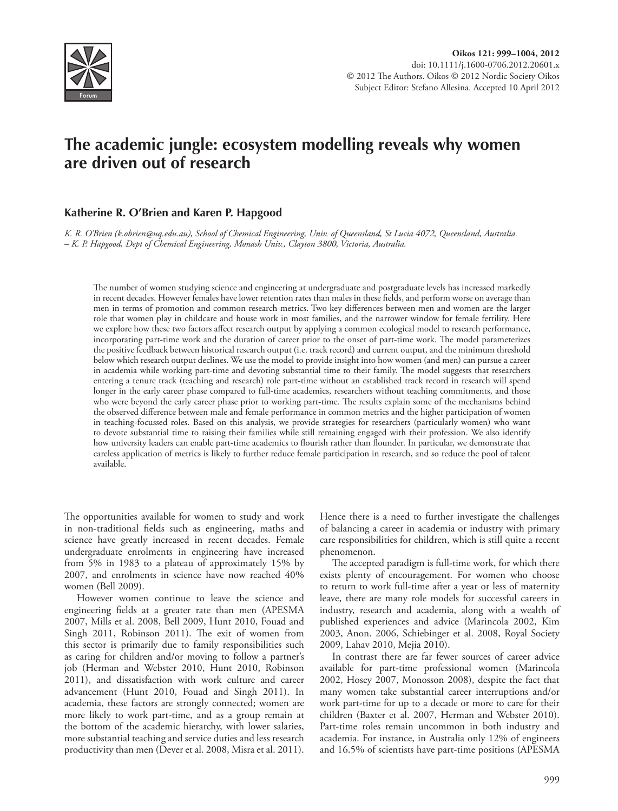

# **The academic jungle: ecosystem modelling reveals why women are driven out of research**

# **Katherine R. O'Brien and Karen P. Hapgood**

*K. R. O'Brien (k.obrien@uq.edu.au), School of Chemical Engineering, Univ. of Queensland, St Lucia 4072, Queensland, Australia. – K. P. Hapgood, Dept of Chemical Engineering, Monash Univ., Clayton 3800, Victoria, Australia.*

The number of women studying science and engineering at undergraduate and postgraduate levels has increased markedly in recent decades. However females have lower retention rates than males in these fields, and perform worse on average than men in terms of promotion and common research metrics. Two key differences between men and women are the larger role that women play in childcare and house work in most families, and the narrower window for female fertility. Here we explore how these two factors affect research output by applying a common ecological model to research performance, incorporating part-time work and the duration of career prior to the onset of part-time work. The model parameterizes the positive feedback between historical research output (i.e. track record) and current output, and the minimum threshold below which research output declines. We use the model to provide insight into how women (and men) can pursue a career in academia while working part-time and devoting substantial time to their family. The model suggests that researchers entering a tenure track (teaching and research) role part-time without an established track record in research will spend longer in the early career phase compared to full-time academics, researchers without teaching commitments, and those who were beyond the early career phase prior to working part-time. The results explain some of the mechanisms behind the observed difference between male and female performance in common metrics and the higher participation of women in teaching-focussed roles. Based on this analysis, we provide strategies for researchers (particularly women) who want to devote substantial time to raising their families while still remaining engaged with their profession. We also identify how university leaders can enable part-time academics to flourish rather than flounder. In particular, we demonstrate that careless application of metrics is likely to further reduce female participation in research, and so reduce the pool of talent available.

The opportunities available for women to study and work in non-traditional fields such as engineering, maths and science have greatly increased in recent decades. Female undergraduate enrolments in engineering have increased from 5% in 1983 to a plateau of approximately 15% by 2007, and enrolments in science have now reached 40% women (Bell 2009).

However women continue to leave the science and engineering fields at a greater rate than men (APESMA 2007, Mills et al. 2008, Bell 2009, Hunt 2010, Fouad and Singh 2011, Robinson 2011). The exit of women from this sector is primarily due to family responsibilities such as caring for children and/or moving to follow a partner's job (Herman and Webster 2010, Hunt 2010, Robinson 2011), and dissatisfaction with work culture and career advancement (Hunt 2010, Fouad and Singh 2011). In academia, these factors are strongly connected; women are more likely to work part-time, and as a group remain at the bottom of the academic hierarchy, with lower salaries, more substantial teaching and service duties and less research productivity than men (Dever et al. 2008, Misra et al. 2011). Hence there is a need to further investigate the challenges of balancing a career in academia or industry with primary care responsibilities for children, which is still quite a recent phenomenon.

The accepted paradigm is full-time work, for which there exists plenty of encouragement. For women who choose to return to work full-time after a year or less of maternity leave, there are many role models for successful careers in industry, research and academia, along with a wealth of published experiences and advice (Marincola 2002, Kim 2003, Anon. 2006, Schiebinger et al. 2008, Royal Society 2009, Lahav 2010, Mejia 2010).

In contrast there are far fewer sources of career advice available for part-time professional women (Marincola 2002, Hosey 2007, Monosson 2008), despite the fact that many women take substantial career interruptions and/or work part-time for up to a decade or more to care for their children (Baxter et al. 2007, Herman and Webster 2010). Part-time roles remain uncommon in both industry and academia. For instance, in Australia only 12% of engineers and 16.5% of scientists have part-time positions (APESMA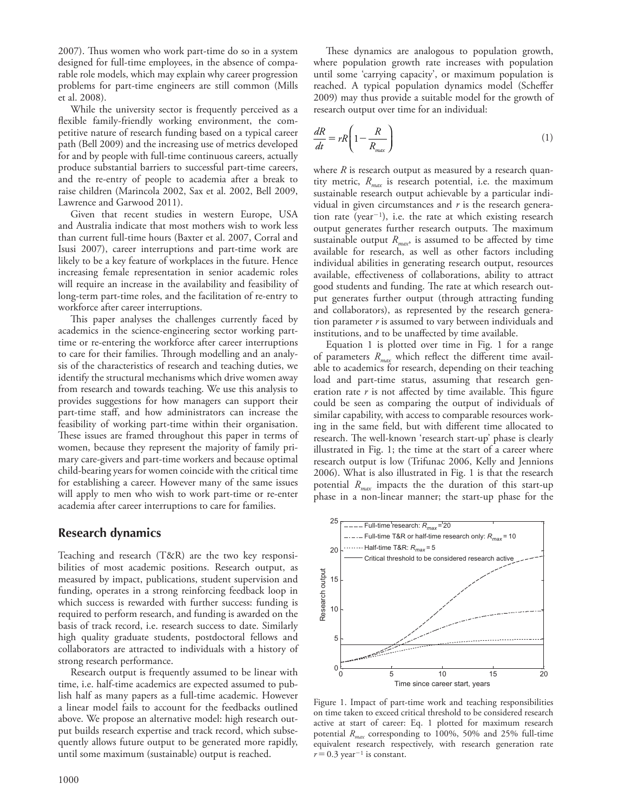2007). Thus women who work part-time do so in a system designed for full-time employees, in the absence of comparable role models, which may explain why career progression problems for part-time engineers are still common (Mills et al. 2008).

While the university sector is frequently perceived as a flexible family-friendly working environment, the competitive nature of research funding based on a typical career path (Bell 2009) and the increasing use of metrics developed for and by people with full-time continuous careers, actually produce substantial barriers to successful part-time careers, and the re-entry of people to academia after a break to raise children (Marincola 2002, Sax et al. 2002, Bell 2009, Lawrence and Garwood 2011).

Given that recent studies in western Europe, USA and Australia indicate that most mothers wish to work less than current full-time hours (Baxter et al. 2007, Corral and Isusi 2007), career interruptions and part-time work are likely to be a key feature of workplaces in the future. Hence increasing female representation in senior academic roles will require an increase in the availability and feasibility of long-term part-time roles, and the facilitation of re-entry to workforce after career interruptions.

This paper analyses the challenges currently faced by academics in the science-engineering sector working parttime or re-entering the workforce after career interruptions to care for their families. Through modelling and an analysis of the characteristics of research and teaching duties, we identify the structural mechanisms which drive women away from research and towards teaching. We use this analysis to provides suggestions for how managers can support their part-time staff, and how administrators can increase the feasibility of working part-time within their organisation. These issues are framed throughout this paper in terms of women, because they represent the majority of family primary care-givers and part-time workers and because optimal child-bearing years for women coincide with the critical time for establishing a career. However many of the same issues will apply to men who wish to work part-time or re-enter academia after career interruptions to care for families.

# **Research dynamics**

Teaching and research (T&R) are the two key responsibilities of most academic positions. Research output, as measured by impact, publications, student supervision and funding, operates in a strong reinforcing feedback loop in which success is rewarded with further success: funding is required to perform research, and funding is awarded on the basis of track record, i.e. research success to date. Similarly high quality graduate students, postdoctoral fellows and collaborators are attracted to individuals with a history of strong research performance.

Research output is frequently assumed to be linear with time, i.e. half-time academics are expected assumed to publish half as many papers as a full-time academic. However a linear model fails to account for the feedbacks outlined above. We propose an alternative model: high research output builds research expertise and track record, which subsequently allows future output to be generated more rapidly, until some maximum (sustainable) output is reached.

These dynamics are analogous to population growth, where population growth rate increases with population until some 'carrying capacity', or maximum population is reached. A typical population dynamics model (Scheffer 2009) may thus provide a suitable model for the growth of research output over time for an individual:

$$
\frac{dR}{dt} = rR\left(1 - \frac{R}{R_{\text{max}}}\right) \tag{1}
$$

where *R* is research output as measured by a research quantity metric, *Rmax* is research potential, i.e. the maximum sustainable research output achievable by a particular individual in given circumstances and *r* is the research generation rate (year<sup>-1</sup>), i.e. the rate at which existing research output generates further research outputs. The maximum sustainable output  $R_{max}$ , is assumed to be affected by time available for research, as well as other factors including individual abilities in generating research output, resources available, effectiveness of collaborations, ability to attract good students and funding. The rate at which research output generates further output (through attracting funding and collaborators), as represented by the research generation parameter *r* is assumed to vary between individuals and institutions, and to be unaffected by time available.

Equation 1 is plotted over time in Fig. 1 for a range of parameters *Rmax* which reflect the different time available to academics for research, depending on their teaching load and part-time status, assuming that research generation rate *r* is not affected by time available. This figure could be seen as comparing the output of individuals of similar capability, with access to comparable resources working in the same field, but with different time allocated to research. The well-known 'research start-up' phase is clearly illustrated in Fig. 1; the time at the start of a career where research output is low (Trifunac 2006, Kelly and Jennions 2006). What is also illustrated in Fig. 1 is that the research potential *Rmax* impacts the the duration of this start-up phase in a non-linear manner; the start-up phase for the



Figure 1. Impact of part-time work and teaching responsibilities on time taken to exceed critical threshold to be considered research active at start of career: Eq. 1 plotted for maximum research potential *Rmax* corresponding to 100%, 50% and 25% full-time equivalent research respectively, with research generation rate  $r=0.3$  year<sup>-1</sup> is constant.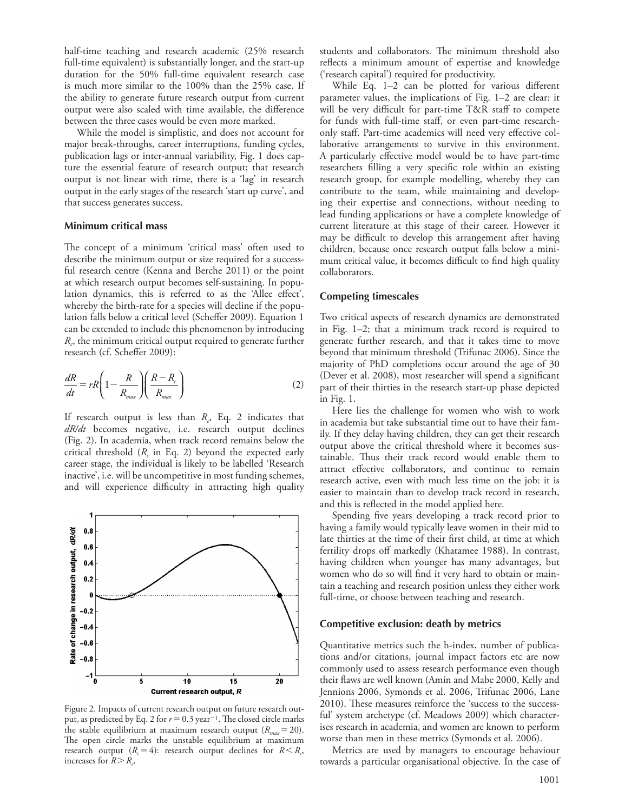half-time teaching and research academic (25% research full-time equivalent) is substantially longer, and the start-up duration for the 50% full-time equivalent research case is much more similar to the 100% than the 25% case. If the ability to generate future research output from current output were also scaled with time available, the difference between the three cases would be even more marked.

While the model is simplistic, and does not account for major break-throughs, career interruptions, funding cycles, publication lags or inter-annual variability, Fig. 1 does capture the essential feature of research output; that research output is not linear with time, there is a 'lag' in research output in the early stages of the research 'start up curve', and that success generates success.

#### **Minimum critical mass**

The concept of a minimum 'critical mass' often used to describe the minimum output or size required for a successful research centre (Kenna and Berche 2011) or the point at which research output becomes self-sustaining. In population dynamics, this is referred to as the 'Allee effect', whereby the birth-rate for a species will decline if the population falls below a critical level (Scheffer 2009). Equation 1 can be extended to include this phenomenon by introducing  $R<sub>e</sub>$ , the minimum critical output required to generate further research (cf. Scheffer 2009):

$$
\frac{dR}{dt} = rR\left(1 - \frac{R}{R_{max}}\right)\left(\frac{R - R_c}{R_{max}}\right) \tag{2}
$$

If research output is less than *Rc* , Eq. 2 indicates that *dR/dt* becomes negative, i.e. research output declines (Fig. 2). In academia, when track record remains below the critical threshold  $(R_c \text{ in Eq. 2})$  beyond the expected early career stage, the individual is likely to be labelled 'Research inactive', i.e. will be uncompetitive in most funding schemes, and will experience difficulty in attracting high quality



Figure 2. Impacts of current research output on future research output, as predicted by Eq. 2 for  $r=0.3$  year<sup>-1</sup>. The closed circle marks the stable equilibrium at maximum research output  $(R<sub>max</sub>=20)$ . The open circle marks the unstable equilibrium at maximum research output  $(R_c = 4)$ : research output declines for  $R < R_c$ , increases for  $R > R_c$ .

students and collaborators. The minimum threshold also reflects a minimum amount of expertise and knowledge ('research capital') required for productivity.

While Eq. 1–2 can be plotted for various different parameter values, the implications of Fig. 1–2 are clear: it will be very difficult for part-time T&R staff to compete for funds with full-time staff, or even part-time researchonly staff. Part-time academics will need very effective collaborative arrangements to survive in this environment. A particularly effective model would be to have part-time researchers filling a very specific role within an existing research group, for example modelling, whereby they can contribute to the team, while maintaining and developing their expertise and connections, without needing to lead funding applications or have a complete knowledge of current literature at this stage of their career. However it may be difficult to develop this arrangement after having children, because once research output falls below a minimum critical value, it becomes difficult to find high quality collaborators.

#### **Competing timescales**

Two critical aspects of research dynamics are demonstrated in Fig. 1–2; that a minimum track record is required to generate further research, and that it takes time to move beyond that minimum threshold (Trifunac 2006). Since the majority of PhD completions occur around the age of 30 (Dever et al. 2008), most researcher will spend a significant part of their thirties in the research start-up phase depicted in Fig. 1.

Here lies the challenge for women who wish to work in academia but take substantial time out to have their family. If they delay having children, they can get their research output above the critical threshold where it becomes sustainable. Thus their track record would enable them to attract effective collaborators, and continue to remain research active, even with much less time on the job: it is easier to maintain than to develop track record in research, and this is reflected in the model applied here.

Spending five years developing a track record prior to having a family would typically leave women in their mid to late thirties at the time of their first child, at time at which fertility drops off markedly (Khatamee 1988). In contrast, having children when younger has many advantages, but women who do so will find it very hard to obtain or maintain a teaching and research position unless they either work full-time, or choose between teaching and research.

#### **Competitive exclusion: death by metrics**

Quantitative metrics such the h-index, number of publications and/or citations, journal impact factors etc are now commonly used to assess research performance even though their flaws are well known (Amin and Mabe 2000, Kelly and Jennions 2006, Symonds et al. 2006, Trifunac 2006, Lane 2010). These measures reinforce the 'success to the successful' system archetype (cf. Meadows 2009) which characterises research in academia, and women are known to perform worse than men in these metrics (Symonds et al. 2006).

Metrics are used by managers to encourage behaviour towards a particular organisational objective. In the case of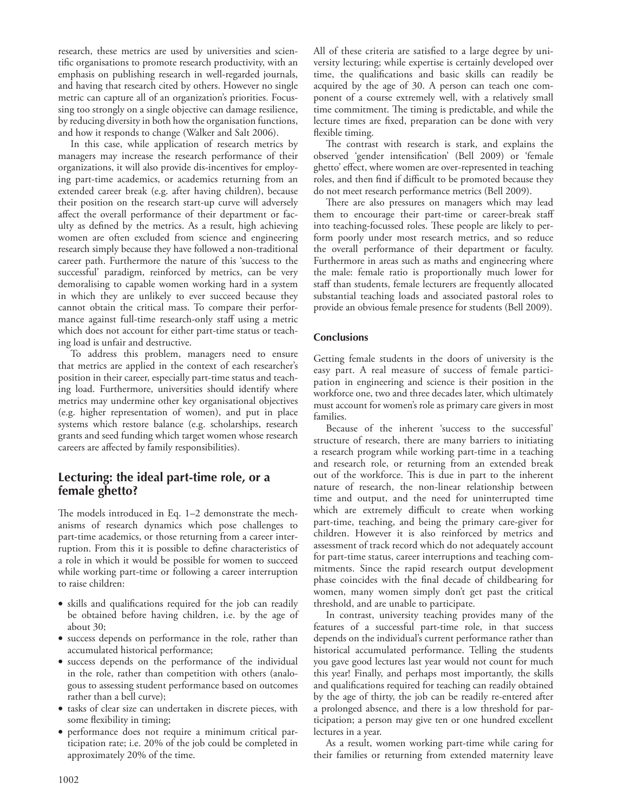research, these metrics are used by universities and scientific organisations to promote research productivity, with an emphasis on publishing research in well-regarded journals, and having that research cited by others. However no single metric can capture all of an organization's priorities. Focussing too strongly on a single objective can damage resilience, by reducing diversity in both how the organisation functions, and how it responds to change (Walker and Salt 2006).

In this case, while application of research metrics by managers may increase the research performance of their organizations, it will also provide dis-incentives for employing part-time academics, or academics returning from an extended career break (e.g. after having children), because their position on the research start-up curve will adversely affect the overall performance of their department or faculty as defined by the metrics. As a result, high achieving women are often excluded from science and engineering research simply because they have followed a non-traditional career path. Furthermore the nature of this 'success to the successful' paradigm, reinforced by metrics, can be very demoralising to capable women working hard in a system in which they are unlikely to ever succeed because they cannot obtain the critical mass. To compare their performance against full-time research-only staff using a metric which does not account for either part-time status or teaching load is unfair and destructive.

To address this problem, managers need to ensure that metrics are applied in the context of each researcher's position in their career, especially part-time status and teaching load. Furthermore, universities should identify where metrics may undermine other key organisational objectives (e.g. higher representation of women), and put in place systems which restore balance (e.g. scholarships, research grants and seed funding which target women whose research careers are affected by family responsibilities).

# **Lecturing: the ideal part-time role, or a female ghetto?**

The models introduced in Eq. 1–2 demonstrate the mechanisms of research dynamics which pose challenges to part-time academics, or those returning from a career interruption. From this it is possible to define characteristics of a role in which it would be possible for women to succeed while working part-time or following a career interruption to raise children:

- skills and qualifications required for the job can readily be obtained before having children, i.e. by the age of about 30;
- success depends on performance in the role, rather than accumulated historical performance;
- success depends on the performance of the individual in the role, rather than competition with others (analogous to assessing student performance based on outcomes rather than a bell curve);
- tasks of clear size can undertaken in discrete pieces, with some flexibility in timing;
- performance does not require a minimum critical participation rate; i.e. 20% of the job could be completed in approximately 20% of the time.

All of these criteria are satisfied to a large degree by university lecturing; while expertise is certainly developed over time, the qualifications and basic skills can readily be acquired by the age of 30. A person can teach one component of a course extremely well, with a relatively small time commitment. The timing is predictable, and while the lecture times are fixed, preparation can be done with very flexible timing.

The contrast with research is stark, and explains the observed 'gender intensification' (Bell 2009) or 'female ghetto' effect, where women are over-represented in teaching roles, and then find if difficult to be promoted because they do not meet research performance metrics (Bell 2009).

There are also pressures on managers which may lead them to encourage their part-time or career-break staff into teaching-focussed roles. These people are likely to perform poorly under most research metrics, and so reduce the overall performance of their department or faculty. Furthermore in areas such as maths and engineering where the male: female ratio is proportionally much lower for staff than students, female lecturers are frequently allocated substantial teaching loads and associated pastoral roles to provide an obvious female presence for students (Bell 2009).

# **Conclusions**

Getting female students in the doors of university is the easy part. A real measure of success of female participation in engineering and science is their position in the workforce one, two and three decades later, which ultimately must account for women's role as primary care givers in most families.

Because of the inherent 'success to the successful' structure of research, there are many barriers to initiating a research program while working part-time in a teaching and research role, or returning from an extended break out of the workforce. This is due in part to the inherent nature of research, the non-linear relationship between time and output, and the need for uninterrupted time which are extremely difficult to create when working part-time, teaching, and being the primary care-giver for children. However it is also reinforced by metrics and assessment of track record which do not adequately account for part-time status, career interruptions and teaching commitments. Since the rapid research output development phase coincides with the final decade of childbearing for women, many women simply don't get past the critical threshold, and are unable to participate.

In contrast, university teaching provides many of the features of a successful part-time role, in that success depends on the individual's current performance rather than historical accumulated performance. Telling the students you gave good lectures last year would not count for much this year! Finally, and perhaps most importantly, the skills and qualifications required for teaching can readily obtained by the age of thirty, the job can be readily re-entered after a prolonged absence, and there is a low threshold for participation; a person may give ten or one hundred excellent lectures in a year.

As a result, women working part-time while caring for their families or returning from extended maternity leave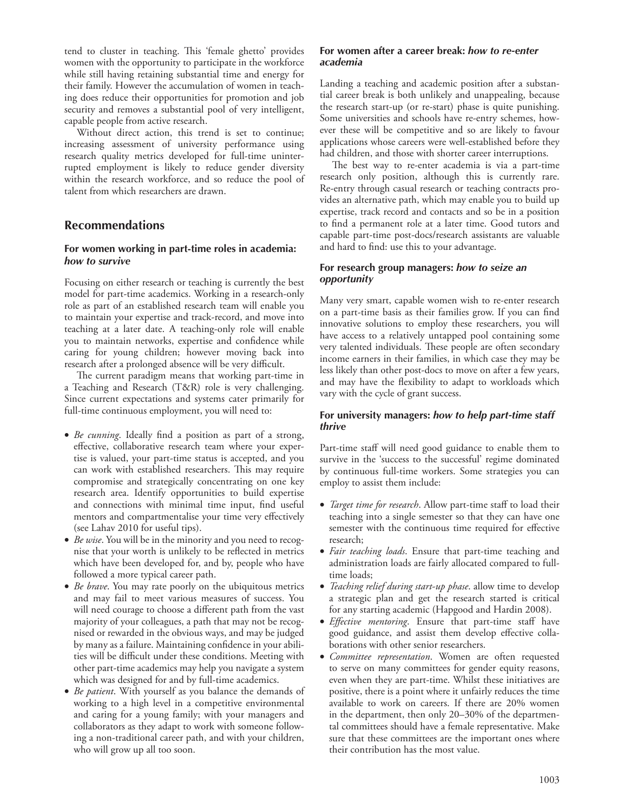tend to cluster in teaching. This 'female ghetto' provides women with the opportunity to participate in the workforce while still having retaining substantial time and energy for their family. However the accumulation of women in teaching does reduce their opportunities for promotion and job security and removes a substantial pool of very intelligent, capable people from active research.

Without direct action, this trend is set to continue; increasing assessment of university performance using research quality metrics developed for full-time uninterrupted employment is likely to reduce gender diversity within the research workforce, and so reduce the pool of talent from which researchers are drawn.

# **Recommendations**

# **For women working in part-time roles in academia:**  *how to survive*

Focusing on either research or teaching is currently the best model for part-time academics. Working in a research-only role as part of an established research team will enable you to maintain your expertise and track-record, and move into teaching at a later date. A teaching-only role will enable you to maintain networks, expertise and confidence while caring for young children; however moving back into research after a prolonged absence will be very difficult.

The current paradigm means that working part-time in a Teaching and Research (T&R) role is very challenging. Since current expectations and systems cater primarily for full-time continuous employment, you will need to:

- *Be cunning*. Ideally find a position as part of a strong, effective, collaborative research team where your expertise is valued, your part-time status is accepted, and you can work with established researchers. This may require compromise and strategically concentrating on one key research area. Identify opportunities to build expertise and connections with minimal time input, find useful mentors and compartmentalise your time very effectively (see Lahav 2010 for useful tips).
- *Be wise*. You will be in the minority and you need to recognise that your worth is unlikely to be reflected in metrics which have been developed for, and by, people who have followed a more typical career path.
- *Be brave*. You may rate poorly on the ubiquitous metrics and may fail to meet various measures of success. You will need courage to choose a different path from the vast majority of your colleagues, a path that may not be recognised or rewarded in the obvious ways, and may be judged by many as a failure. Maintaining confidence in your abilities will be difficult under these conditions. Meeting with other part-time academics may help you navigate a system which was designed for and by full-time academics.
- *Be patient*. With yourself as you balance the demands of working to a high level in a competitive environmental and caring for a young family; with your managers and collaborators as they adapt to work with someone following a non-traditional career path, and with your children, who will grow up all too soon.

### **For women after a career break:** *how to re-enter academia*

Landing a teaching and academic position after a substantial career break is both unlikely and unappealing, because the research start-up (or re-start) phase is quite punishing. Some universities and schools have re-entry schemes, however these will be competitive and so are likely to favour applications whose careers were well-established before they had children, and those with shorter career interruptions.

The best way to re-enter academia is via a part-time research only position, although this is currently rare. Re-entry through casual research or teaching contracts provides an alternative path, which may enable you to build up expertise, track record and contacts and so be in a position to find a permanent role at a later time. Good tutors and capable part-time post-docs/research assistants are valuable and hard to find: use this to your advantage.

# **For research group managers:** *how to seize an opportunity*

Many very smart, capable women wish to re-enter research on a part-time basis as their families grow. If you can find innovative solutions to employ these researchers, you will have access to a relatively untapped pool containing some very talented individuals. These people are often secondary income earners in their families, in which case they may be less likely than other post-docs to move on after a few years, and may have the flexibility to adapt to workloads which vary with the cycle of grant success.

# **For university managers:** *how to help part-time staff thrive*

Part-time staff will need good guidance to enable them to survive in the 'success to the successful' regime dominated by continuous full-time workers. Some strategies you can employ to assist them include:

- *Target time for research*. Allow part-time staff to load their teaching into a single semester so that they can have one semester with the continuous time required for effective research;
- *Fair teaching loads*. Ensure that part-time teaching and administration loads are fairly allocated compared to fulltime loads;
- *Teaching relief during start-up phase*. allow time to develop a strategic plan and get the research started is critical for any starting academic (Hapgood and Hardin 2008).
- *Effective mentoring*. Ensure that part-time staff have good guidance, and assist them develop effective collaborations with other senior researchers.
- *Committee representation*. Women are often requested to serve on many committees for gender equity reasons, even when they are part-time. Whilst these initiatives are positive, there is a point where it unfairly reduces the time available to work on careers. If there are 20% women in the department, then only 20–30% of the departmental committees should have a female representative. Make sure that these committees are the important ones where their contribution has the most value.